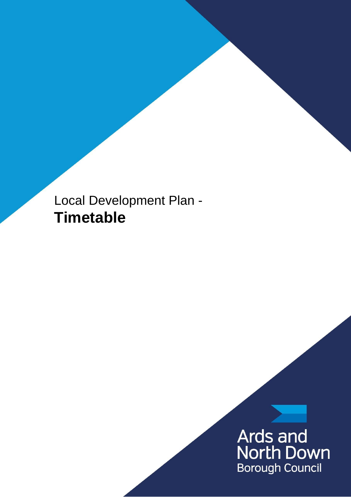Local Development Plan - **Timetable**

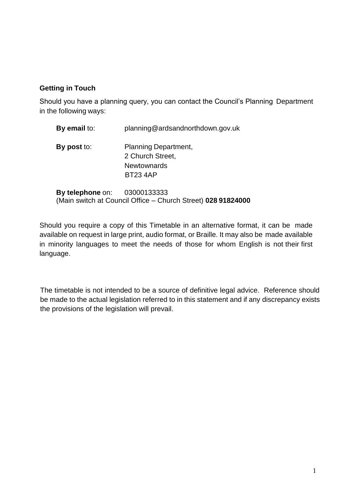### **Getting in Touch**

Should you have a planning query, you can contact the Council's Planning Department in the following ways:

| By email to:     | planning@ardsandnorthdown.gov.uk                                                        |
|------------------|-----------------------------------------------------------------------------------------|
| By post to:      | <b>Planning Department,</b><br>2 Church Street,<br><b>Newtownards</b><br><b>BT234AP</b> |
| By telephone on: | 03000133333<br>(Main switch at Council Office - Church Street) 028 91824000             |

Should you require a copy of this Timetable in an alternative format, it can be made available on request in large print, audio format, or Braille. It may also be made available in minority languages to meet the needs of those for whom English is not their first language.

The timetable is not intended to be a source of definitive legal advice. Reference should be made to the actual legislation referred to in this statement and if any discrepancy exists the provisions of the legislation will prevail.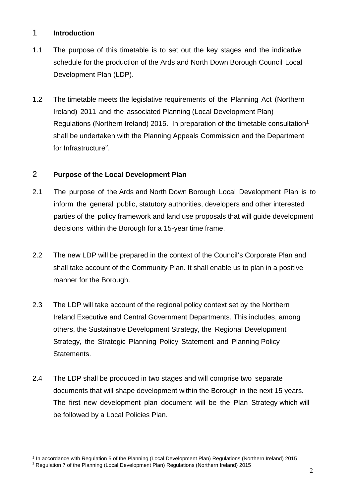#### 1 **Introduction**

- 1.1 The purpose of this timetable is to set out the key stages and the indicative schedule for the production of the Ards and North Down Borough Council Local Development Plan (LDP).
- 1.2 The timetable meets the legislative requirements of the Planning Act (Northern Ireland) 2011 and the associated Planning (Local Development Plan) Regulations (Northern Ireland) 2015. In preparation of the timetable consultation<sup>1</sup> shall be undertaken with the Planning Appeals Commission and the Department for Infrastructure<sup>2</sup>.

### 2 **Purpose of the Local Development Plan**

- 2.1 The purpose of the Ards and North Down Borough Local Development Plan is to inform the general public, statutory authorities, developers and other interested parties of the policy framework and land use proposals that will guide development decisions within the Borough for a 15-year time frame.
- 2.2 The new LDP will be prepared in the context of the Council's Corporate Plan and shall take account of the Community Plan. It shall enable us to plan in a positive manner for the Borough.
- 2.3 The LDP will take account of the regional policy context set by the Northern Ireland Executive and Central Government Departments. This includes, among others, the Sustainable Development Strategy, the Regional Development Strategy, the Strategic Planning Policy Statement and Planning Policy Statements.
- 2.4 The LDP shall be produced in two stages and will comprise two separate documents that will shape development within the Borough in the next 15 years. The first new development plan document will be the Plan Strategy which will be followed by a Local Policies Plan.

 $\overline{a}$ 1 In accordance with Regulation 5 of the Planning (Local Development Plan) Regulations (Northern Ireland) 2015

<sup>&</sup>lt;sup>2</sup> Regulation 7 of the Planning (Local Development Plan) Regulations (Northern Ireland) 2015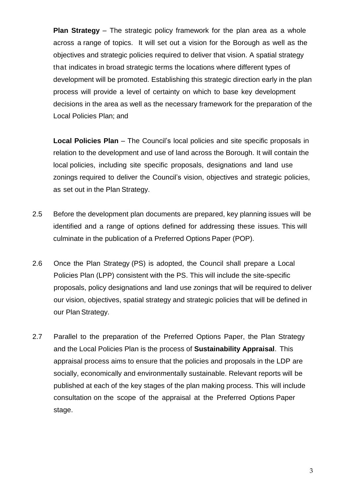**Plan Strategy** – The strategic policy framework for the plan area as a whole across a range of topics. It will set out a vision for the Borough as well as the objectives and strategic policies required to deliver that vision. A spatial strategy that indicates in broad strategic terms the locations where different types of development will be promoted. Establishing this strategic direction early in the plan process will provide a level of certainty on which to base key development decisions in the area as well as the necessary framework for the preparation of the Local Policies Plan; and

**Local Policies Plan** – The Council's local policies and site specific proposals in relation to the development and use of land across the Borough. It will contain the local policies, including site specific proposals, designations and land use zonings required to deliver the Council's vision, objectives and strategic policies, as set out in the Plan Strategy.

- 2.5 Before the development plan documents are prepared, key planning issues will be identified and a range of options defined for addressing these issues. This will culminate in the publication of a Preferred Options Paper (POP).
- 2.6 Once the Plan Strategy (PS) is adopted, the Council shall prepare a Local Policies Plan (LPP) consistent with the PS. This will include the site-specific proposals, policy designations and land use zonings that will be required to deliver our vision, objectives, spatial strategy and strategic policies that will be defined in our Plan Strategy.
- 2.7 Parallel to the preparation of the Preferred Options Paper, the Plan Strategy and the Local Policies Plan is the process of **Sustainability Appraisal**. This appraisal process aims to ensure that the policies and proposals in the LDP are socially, economically and environmentally sustainable. Relevant reports will be published at each of the key stages of the plan making process. This will include consultation on the scope of the appraisal at the Preferred Options Paper stage.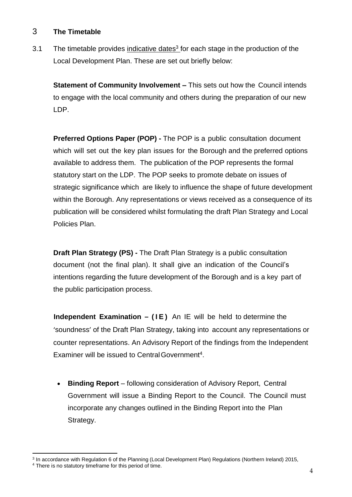### 3 **The Timetable**

3.1 The timetable provides indicative dates<sup>3</sup> for each stage in the production of the Local Development Plan. These are set out briefly below:

**Statement of Community Involvement –** This sets out how the Council intends to engage with the local community and others during the preparation of our new LDP.

**Preferred Options Paper (POP) -** The POP is a public consultation document which will set out the key plan issues for the Borough and the preferred options available to address them. The publication of the POP represents the formal statutory start on the LDP. The POP seeks to promote debate on issues of strategic significance which are likely to influence the shape of future development within the Borough. Any representations or views received as a consequence of its publication will be considered whilst formulating the draft Plan Strategy and Local Policies Plan.

**Draft Plan Strategy (PS) -** The Draft Plan Strategy is a public consultation document (not the final plan). It shall give an indication of the Council's intentions regarding the future development of the Borough and is a key part of the public participation process.

**Independent Examination – (IE)** An IE will be held to determine the 'soundness' of the Draft Plan Strategy, taking into account any representations or counter representations. An Advisory Report of the findings from the Independent Examiner will be issued to Central Government<sup>4</sup>.

 **Binding Report** – following consideration of Advisory Report, Central Government will issue a Binding Report to the Council. The Council must incorporate any changes outlined in the Binding Report into the Plan Strategy.

 $\overline{a}$ <sup>3</sup> In accordance with Regulation 6 of the Planning (Local Development Plan) Regulations (Northern Ireland) 2015,

<sup>4</sup> There is no statutory timeframe for this period of time.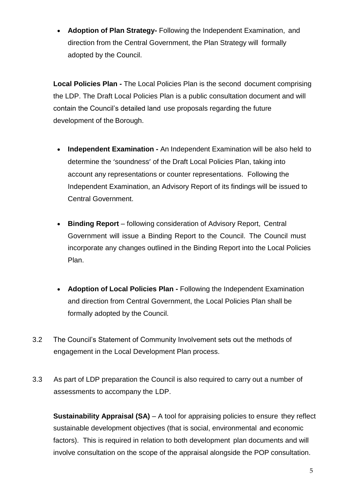**Adoption of Plan Strategy-** Following the Independent Examination, and direction from the Central Government, the Plan Strategy will formally adopted by the Council.

**Local Policies Plan -** The Local Policies Plan is the second document comprising the LDP. The Draft Local Policies Plan is a public consultation document and will contain the Council's detailed land use proposals regarding the future development of the Borough.

- **Independent Examination -** An Independent Examination will be also held to determine the 'soundness' of the Draft Local Policies Plan, taking into account any representations or counter representations. Following the Independent Examination, an Advisory Report of its findings will be issued to Central Government.
- **Binding Report**  following consideration of Advisory Report, Central Government will issue a Binding Report to the Council. The Council must incorporate any changes outlined in the Binding Report into the Local Policies Plan.
- **Adoption of Local Policies Plan -** Following the Independent Examination and direction from Central Government, the Local Policies Plan shall be formally adopted by the Council.
- 3.2 The Council's Statement of Community Involvement sets out the methods of engagement in the Local Development Plan process.
- 3.3 As part of LDP preparation the Council is also required to carry out a number of assessments to accompany the LDP.

**Sustainability Appraisal (SA)** – A tool for appraising policies to ensure they reflect sustainable development objectives (that is social, environmental and economic factors). This is required in relation to both development plan documents and will involve consultation on the scope of the appraisal alongside the POP consultation.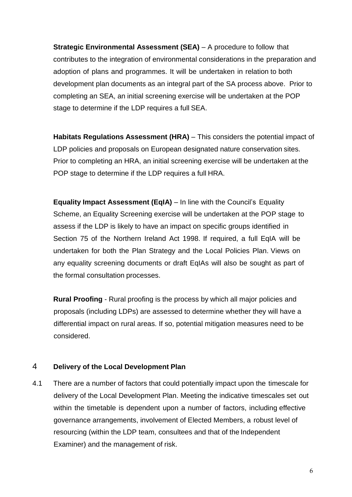**Strategic Environmental Assessment (SEA)** – A procedure to follow that contributes to the integration of environmental considerations in the preparation and adoption of plans and programmes. It will be undertaken in relation to both development plan documents as an integral part of the SA process above. Prior to completing an SEA, an initial screening exercise will be undertaken at the POP stage to determine if the LDP requires a full SEA.

**Habitats Regulations Assessment (HRA) – This considers the potential impact of** LDP policies and proposals on European designated nature conservation sites. Prior to completing an HRA, an initial screening exercise will be undertaken at the POP stage to determine if the LDP requires a full HRA.

**Equality Impact Assessment (EqIA)** – In line with the Council's Equality Scheme, an Equality Screening exercise will be undertaken at the POP stage to assess if the LDP is likely to have an impact on specific groups identified in Section 75 of the Northern Ireland Act 1998. If required, a full EqIA will be undertaken for both the Plan Strategy and the Local Policies Plan. Views on any equality screening documents or draft EqIAs will also be sought as part of the formal consultation processes.

**Rural Proofing** - Rural proofing is the process by which all major policies and proposals (including LDPs) are assessed to determine whether they will have a differential impact on rural areas. If so, potential mitigation measures need to be considered.

### 4 **Delivery of the Local Development Plan**

4.1 There are a number of factors that could potentially impact upon the timescale for delivery of the Local Development Plan. Meeting the indicative timescales set out within the timetable is dependent upon a number of factors, including effective governance arrangements, involvement of Elected Members, a robust level of resourcing (within the LDP team, consultees and that of the Independent Examiner) and the management of risk.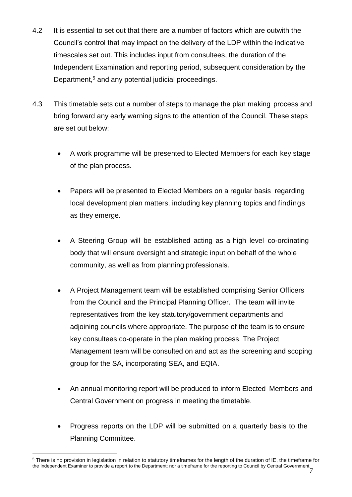- 4.2 It is essential to set out that there are a number of factors which are outwith the Council's control that may impact on the delivery of the LDP within the indicative timescales set out. This includes input from consultees, the duration of the Independent Examination and reporting period, subsequent consideration by the Department,<sup>5</sup> and any potential judicial proceedings.
- 4.3 This timetable sets out a number of steps to manage the plan making process and bring forward any early warning signs to the attention of the Council. These steps are set out below:
	- A work programme will be presented to Elected Members for each key stage of the plan process.
	- Papers will be presented to Elected Members on a regular basis regarding local development plan matters, including key planning topics and findings as they emerge.
	- A Steering Group will be established acting as a high level co-ordinating body that will ensure oversight and strategic input on behalf of the whole community, as well as from planning professionals.
	- A Project Management team will be established comprising Senior Officers from the Council and the Principal Planning Officer. The team will invite representatives from the key statutory/government departments and adjoining councils where appropriate. The purpose of the team is to ensure key consultees co-operate in the plan making process. The Project Management team will be consulted on and act as the screening and scoping group for the SA, incorporating SEA, and EQIA.
	- An annual monitoring report will be produced to inform Elected Members and Central Government on progress in meeting the timetable.
	- Progress reports on the LDP will be submitted on a quarterly basis to the Planning Committee.

<sup>7</sup> the Independent Examiner to provide a report to the Department; nor a timeframe for the reporting to Council by Central Government. $\overline{a}$ <sup>5</sup> There is no provision in legislation in relation to statutory timeframes for the length of the duration of IE, the timeframe for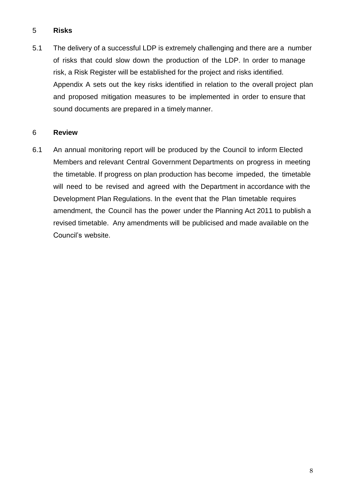### 5 **Risks**

5.1 The delivery of a successful LDP is extremely challenging and there are a number of risks that could slow down the production of the LDP. In order to manage risk, a Risk Register will be established for the project and risks identified. Appendix A sets out the key risks identified in relation to the overall project plan and proposed mitigation measures to be implemented in order to ensure that sound documents are prepared in a timely manner.

#### 6 **Review**

6.1 An annual monitoring report will be produced by the Council to inform Elected Members and relevant Central Government Departments on progress in meeting the timetable. If progress on plan production has become impeded, the timetable will need to be revised and agreed with the Department in accordance with the Development Plan Regulations. In the event that the Plan timetable requires amendment, the Council has the power under the Planning Act 2011 to publish a revised timetable. Any amendments will be publicised and made available on the Council's website.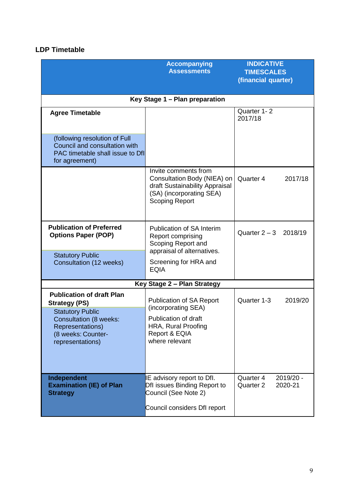## **LDP Timetable**

| <b>Accompanying</b><br><b>Assessments</b>                                                                                                                                          |                                                                                                                                            | <b>INDICATIVE</b><br><b>TIMESCALES</b><br>(financial quarter) |  |
|------------------------------------------------------------------------------------------------------------------------------------------------------------------------------------|--------------------------------------------------------------------------------------------------------------------------------------------|---------------------------------------------------------------|--|
| Key Stage 1 - Plan preparation                                                                                                                                                     |                                                                                                                                            |                                                               |  |
| <b>Agree Timetable</b>                                                                                                                                                             |                                                                                                                                            | Quarter 1-2<br>2017/18                                        |  |
| (following resolution of Full<br>Council and consultation with<br>PAC timetable shall issue to Dfl<br>for agreement)                                                               |                                                                                                                                            |                                                               |  |
|                                                                                                                                                                                    | Invite comments from<br>Consultation Body (NIEA) on<br>draft Sustainability Appraisal<br>(SA) (incorporating SEA)<br><b>Scoping Report</b> | Quarter 4<br>2017/18                                          |  |
| <b>Publication of Preferred</b><br><b>Options Paper (POP)</b>                                                                                                                      | <b>Publication of SA Interim</b><br>Report comprising<br>Scoping Report and                                                                | Quarter $2 - 3$ 2018/19                                       |  |
| <b>Statutory Public</b><br><b>Consultation (12 weeks)</b>                                                                                                                          | appraisal of alternatives.<br>Screening for HRA and<br><b>EQIA</b>                                                                         |                                                               |  |
|                                                                                                                                                                                    | Key Stage 2 - Plan Strategy                                                                                                                |                                                               |  |
| <b>Publication of draft Plan</b><br><b>Strategy (PS)</b><br><b>Statutory Public</b><br><b>Consultation (8 weeks:</b><br>Representations)<br>(8 weeks: Counter-<br>representations) | Publication of SA Report<br>(incorporating SEA)<br>Publication of draft<br>HRA, Rural Proofing<br>Report & EQIA<br>where relevant          | Quarter 1-3<br>2019/20                                        |  |
|                                                                                                                                                                                    |                                                                                                                                            |                                                               |  |
| Independent<br><b>Examination (IE) of Plan</b><br><b>Strategy</b>                                                                                                                  | IE advisory report to Dfl.<br>Dfl issues Binding Report to<br>Council (See Note 2)<br>Council considers Dfl report                         | Quarter 4<br>2019/20 -<br>Quarter 2<br>2020-21                |  |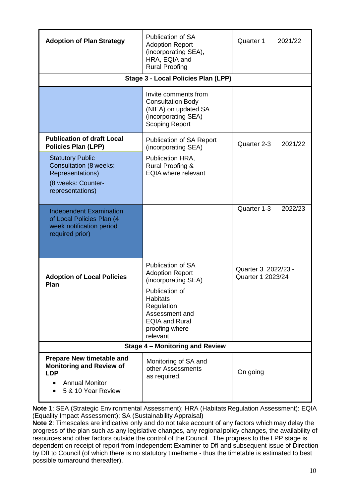| <b>Adoption of Plan Strategy</b>                                                                                                 | Publication of SA<br><b>Adoption Report</b><br>(incorporating SEA),<br>HRA, EQIA and<br><b>Rural Proofing</b>                                                                                         | Quarter 1<br>2021/22                     |  |
|----------------------------------------------------------------------------------------------------------------------------------|-------------------------------------------------------------------------------------------------------------------------------------------------------------------------------------------------------|------------------------------------------|--|
|                                                                                                                                  | <b>Stage 3 - Local Policies Plan (LPP)</b>                                                                                                                                                            |                                          |  |
|                                                                                                                                  | Invite comments from<br><b>Consultation Body</b><br>(NIEA) on updated SA<br>(incorporating SEA)<br><b>Scoping Report</b>                                                                              |                                          |  |
| <b>Publication of draft Local</b><br><b>Policies Plan (LPP)</b>                                                                  | <b>Publication of SA Report</b><br>(incorporating SEA)                                                                                                                                                | Quarter 2-3<br>2021/22                   |  |
| <b>Statutory Public</b><br><b>Consultation (8 weeks:</b><br><b>Representations)</b><br>(8 weeks: Counter-<br>representations)    | Publication HRA,<br><b>Rural Proofing &amp;</b><br><b>EQIA where relevant</b>                                                                                                                         |                                          |  |
| <b>Independent Examination</b><br>of Local Policies Plan (4<br>week notification period<br>required prior)                       |                                                                                                                                                                                                       | Quarter 1-3<br>2022/23                   |  |
| <b>Adoption of Local Policies</b><br>Plan                                                                                        | <b>Publication of SA</b><br><b>Adoption Report</b><br>(incorporating SEA)<br>Publication of<br><b>Habitats</b><br>Regulation<br>Assessment and<br><b>EQIA and Rural</b><br>proofing where<br>relevant | Quarter 3 2022/23 -<br>Quarter 1 2023/24 |  |
| <b>Stage 4 - Monitoring and Review</b>                                                                                           |                                                                                                                                                                                                       |                                          |  |
| <b>Prepare New timetable and</b><br><b>Monitoring and Review of</b><br><b>LDP</b><br><b>Annual Monitor</b><br>5 & 10 Year Review | Monitoring of SA and<br>other Assessments<br>as required.                                                                                                                                             | On going                                 |  |

**Note 1**: SEA (Strategic Environmental Assessment); HRA (Habitats Regulation Assessment): EQIA (Equality Impact Assessment); SA (Sustainability Appraisal)

**Note 2**: Timescales are indicative only and do not take account of any factors which may delay the progress of the plan such as any legislative changes, any regionalpolicy changes, the availability of resources and other factors outside the control of the Council. The progress to the LPP stage is dependent on receipt of report from Independent Examiner to DfI and subsequent issue of Direction by DfI to Council (of which there is no statutory timeframe - thus the timetable is estimated to best possible turnaround thereafter).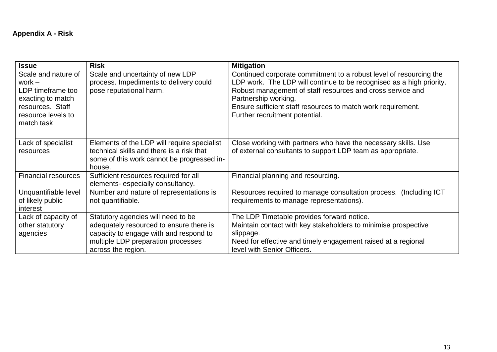# **Appendix A - Risk**

| <b>Issue</b>                                                                                                                      | <b>Risk</b>                                                                                                                                                                         | <b>Mitigation</b>                                                                                                                                                                                                                                                                                                                  |
|-----------------------------------------------------------------------------------------------------------------------------------|-------------------------------------------------------------------------------------------------------------------------------------------------------------------------------------|------------------------------------------------------------------------------------------------------------------------------------------------------------------------------------------------------------------------------------------------------------------------------------------------------------------------------------|
| Scale and nature of<br>work $-$<br>LDP timeframe too<br>exacting to match<br>resources. Staff<br>resource levels to<br>match task | Scale and uncertainty of new LDP<br>process. Impediments to delivery could<br>pose reputational harm.                                                                               | Continued corporate commitment to a robust level of resourcing the<br>LDP work. The LDP will continue to be recognised as a high priority.<br>Robust management of staff resources and cross service and<br>Partnership working.<br>Ensure sufficient staff resources to match work requirement.<br>Further recruitment potential. |
| Lack of specialist<br>resources                                                                                                   | Elements of the LDP will require specialist<br>technical skills and there is a risk that<br>some of this work cannot be progressed in-<br>house.                                    | Close working with partners who have the necessary skills. Use<br>of external consultants to support LDP team as appropriate.                                                                                                                                                                                                      |
| <b>Financial resources</b>                                                                                                        | Sufficient resources required for all<br>elements- especially consultancy.                                                                                                          | Financial planning and resourcing.                                                                                                                                                                                                                                                                                                 |
| Unquantifiable level<br>of likely public<br>interest                                                                              | Number and nature of representations is<br>not quantifiable.                                                                                                                        | Resources required to manage consultation process. (Including ICT<br>requirements to manage representations).                                                                                                                                                                                                                      |
| Lack of capacity of<br>other statutory<br>agencies                                                                                | Statutory agencies will need to be<br>adequately resourced to ensure there is<br>capacity to engage with and respond to<br>multiple LDP preparation processes<br>across the region. | The LDP Timetable provides forward notice.<br>Maintain contact with key stakeholders to minimise prospective<br>slippage.<br>Need for effective and timely engagement raised at a regional<br>level with Senior Officers.                                                                                                          |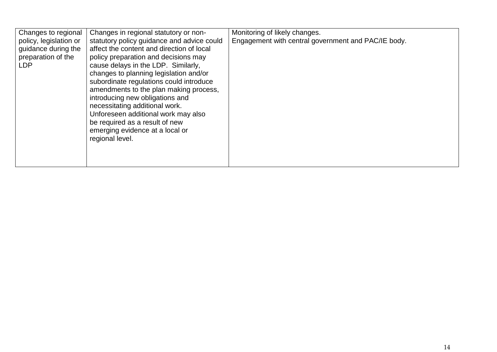| Changes in regional statutory or non-<br>Changes to regional<br>policy, legislation or<br>statutory policy guidance and advice could<br>affect the content and direction of local<br>guidance during the<br>preparation of the<br>policy preparation and decisions may<br>cause delays in the LDP. Similarly,<br>LDP<br>changes to planning legislation and/or<br>subordinate regulations could introduce<br>amendments to the plan making process, | Monitoring of likely changes.<br>Engagement with central government and PAC/IE body.                                                                                                             |  |
|-----------------------------------------------------------------------------------------------------------------------------------------------------------------------------------------------------------------------------------------------------------------------------------------------------------------------------------------------------------------------------------------------------------------------------------------------------|--------------------------------------------------------------------------------------------------------------------------------------------------------------------------------------------------|--|
|                                                                                                                                                                                                                                                                                                                                                                                                                                                     | introducing new obligations and<br>necessitating additional work.<br>Unforeseen additional work may also<br>be required as a result of new<br>emerging evidence at a local or<br>regional level. |  |